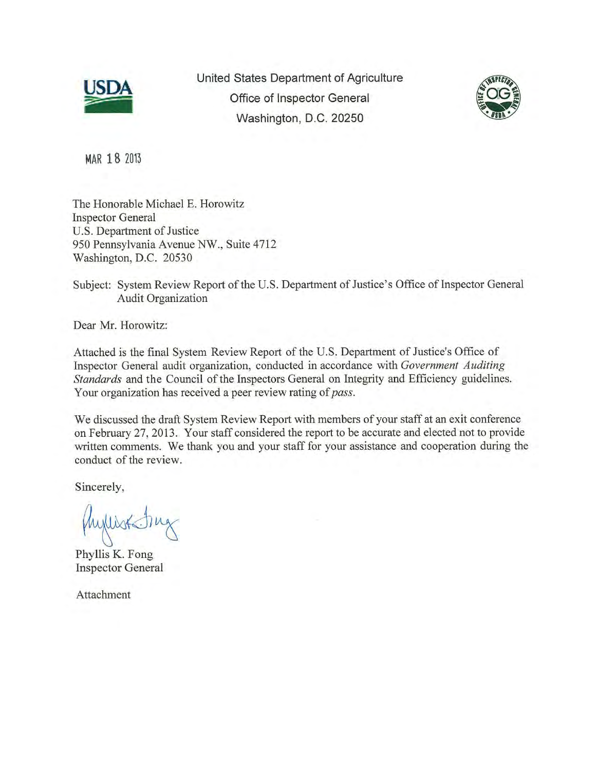

United States Department of Agriculture<br>Office of Inspector General Washington, D.C. 20250



MAR **18** <sup>2013</sup>

The Honorable Michael E. Horowitz Inspector General U.S. Department of Justice 950 Pennsylvania Avenue NW., Suite 4712 Washington, D.C. 20530

Subject: System Review Report of the U.S. Department of Justice's Office of Inspector General Audit Organization

Dear Mr. Horowitz:

Attached is the final System Review Report of the U.S. Department of Justice's Office of Inspector General audit organization, conducted in accordance with *Government Auditing Standards* and the Council of the Inspectors General on Integrity and Efficiency guidelines. Your organization has received a peer review rating of*pass.* 

We discussed the draft System Review Report with members of your staff at an exit conference on February 27, 2013. Your staff considered the report to be accurate and elected not to provide written comments. We thank you and your staff for your assistance and cooperation during the conduct of the review.

Sincerely,

Myllist Du

Phyllis K. Fong Inspector General

Attachment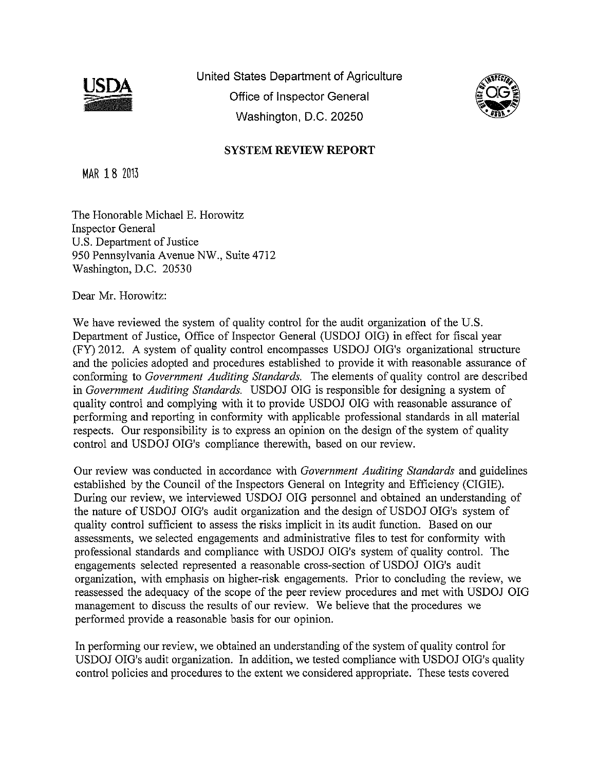

United States Department of Agriculture Office of Inspector General Washington, D.C. 20250



## **SYSTEM REVIEW REPORT**

MAR 18 <sup>2013</sup>

The Honorable Michael E. Horowitz Inspector Oeneral U.S. Department of Justice 950 Pennsylvania Avenue NW., Suite 4712 Washington, D.C. 20530

Dear Mr. Horowitz:

We have reviewed the system of quality control for the audit organization of the U.S. Department of Justice, Office of Inspector General (USDOJ OIG) in effect for fiscal year (FY) 2012. A system of quality control encompasses USDOJ OIG's organizational structure and the policies adopted and procedures established to provide it with reasonable assurance of conforming to *Government Auditing Standards.* The elements of quality control are described in *Government Auditing Standards*. USDOJ OIG is responsible for designing a system of quality control and complying with it to provide USDOJ OIG with reasonable assurance of performing and reporting in conformity with applicable professional standards in all material respects. Our responsibility is to express an opinion on the design of the system of quality control and USDOJ OIG's compliance therewith, based on our review.

Our review was conducted in accordance with *Government Auditing Standards* and guidelines established by the Council of the Inspectors Oeneral on Integrity and Efficiency (ClOlE). During our review, we interviewed USDOJ OIG personnel and obtained an understanding of the nature of USDOJ OIG's audit organization and the design of USDOJ OIG's system of quality control sufficient to assess the risks implicit in its audit function. Based on our assessments, we selected engagements and administrative files to test for conformity with professional standards and compliance with USDOJ OIG's system of quality control. The engagements selected represented a reasonable cross-section of USDOJ OIO's audit organization, with emphasis on higher-risk engagements. Prior to concluding the review, we reassessed the adequacy of the scope of the peer review procedures and met with USDOJ 010 management to discuss the results of our review. We believe that the procedures we performed provide a reasonable basis for our opinion.

In performing our review, we obtained an understanding of the system of quality control for USDOJ OIG's audit organization. In addition, we tested compliance with USDOJ OIG's quality control policies and procedures to the extent we considered appropriate. These tests covered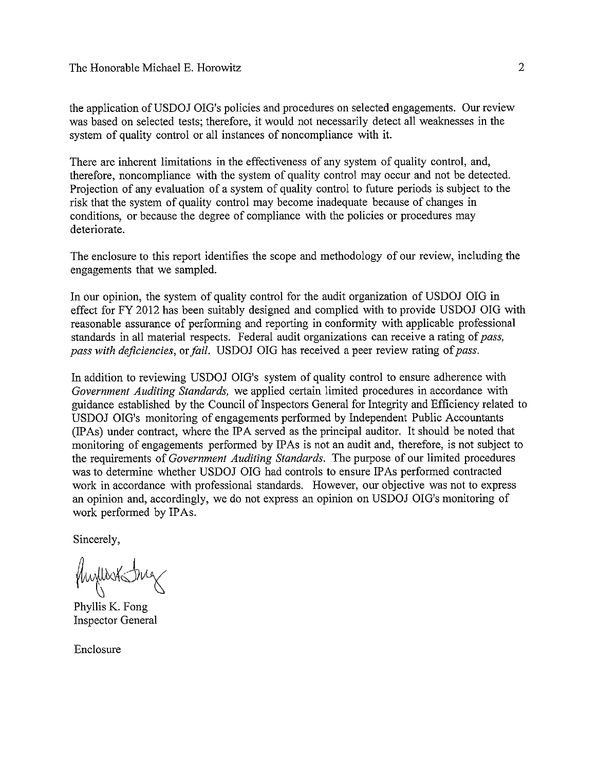the application of USDOJ OIG's policies and procedures on selected engagements. Our review was based on selected tests; therefore, it would not necessarily detect all weaknesses in the system of quality control or all instances of noncompliance with it.

There are inherent limitations in the effectiveness of any system of quality control, and, therefore, noncompliance with the system of quality control may occur and not be detected. Projection of any evaluation of a system of quality control to future periods is subject to the risk that the system of quality control may become inadequate because of changes in conditions, or because the degree of compliance with the policies or procedures may deteriorate.

The enclosure to this report identifies the scope and methodology of our review, including the engagements that we sampled.

In our opinion, the system of quality control for the audit organization of USDOJ OIG in effect for FY 2012 has been suitably designed and complied with to provide USDOJ OIG with reasonable assurance of performing and reporting in conformity with applicable professional standards in all material respects. Federal audit organizations can receive a rating of*pass, pass with deficiencies, or fail.* USDOJ OIG has received a peer review rating of pass.

In addition to reviewing USDOJ OIO's system of quality control to ensure adherence with *Government Auditing Standards,* we applied certain limited procedures in accordance with guidance established by the Council of Inspectors General for Integrity and Efficiency related to USDOJ OIO's monitoring of engagements performed by Independent Public Accountants (IP As) under contract, where the IPA served as the principal auditor. It should be noted that monitoring of engagements performed by IPAs is not an audit and, therefore, is not subiect to the requirements of *Government Auditing Standards.* The purpose of our limited procedures was to determine whether USDOJ OIG had controls to ensure IP As performed contracted work in accordance with professional standards. However, our objective was not to express an opinion and, accordingly, we do not express an opinion on USDOJ OIO's monitoring of work performed by IPAs.

Sincerely,

Hunterstative

Phyllis K. Fong Inspector General

Enclosure